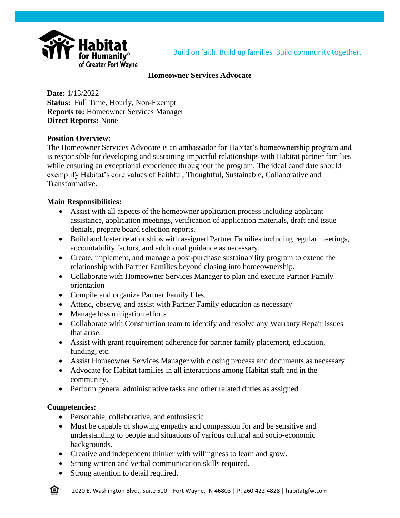

# **Homeowner Services Advocate**

**Date:** 1/13/2022 **Status:** Full Time, Hourly, Non-Exempt **Reports to:** Homeowner Services Manager **Direct Reports:** None

# **Position Overview:**

The Homeowner Services Advocate is an ambassador for Habitat's homeownership program and is responsible for developing and sustaining impactful relationships with Habitat partner families while ensuring an exceptional experience throughout the program. The ideal candidate should exemplify Habitat's core values of Faithful, Thoughtful, Sustainable, Collaborative and Transformative.

# **Main Responsibilities:**

- Assist with all aspects of the homeowner application process including applicant assistance, application meetings, verification of application materials, draft and issue denials, prepare board selection reports.
- Build and foster relationships with assigned Partner Families including regular meetings, accountability factors, and additional guidance as necessary.
- Create, implement, and manage a post-purchase sustainability program to extend the relationship with Partner Families beyond closing into homeownership.
- Collaborate with Homeowner Services Manager to plan and execute Partner Family orientation
- Compile and organize Partner Family files.
- Attend, observe, and assist with Partner Family education as necessary
- Manage loss mitigation efforts
- Collaborate with Construction team to identify and resolve any Warranty Repair issues that arise.
- Assist with grant requirement adherence for partner family placement, education, funding, etc.
- Assist Homeowner Services Manager with closing process and documents as necessary.
- Advocate for Habitat families in all interactions among Habitat staff and in the community.
- Perform general administrative tasks and other related duties as assigned.

### **Competencies:**

合

- Personable, collaborative, and enthusiastic
- Must be capable of showing empathy and compassion for and be sensitive and understanding to people and situations of various cultural and socio-economic backgrounds.
- Creative and independent thinker with willingness to learn and grow.
- Strong written and verbal communication skills required.
- Strong attention to detail required.